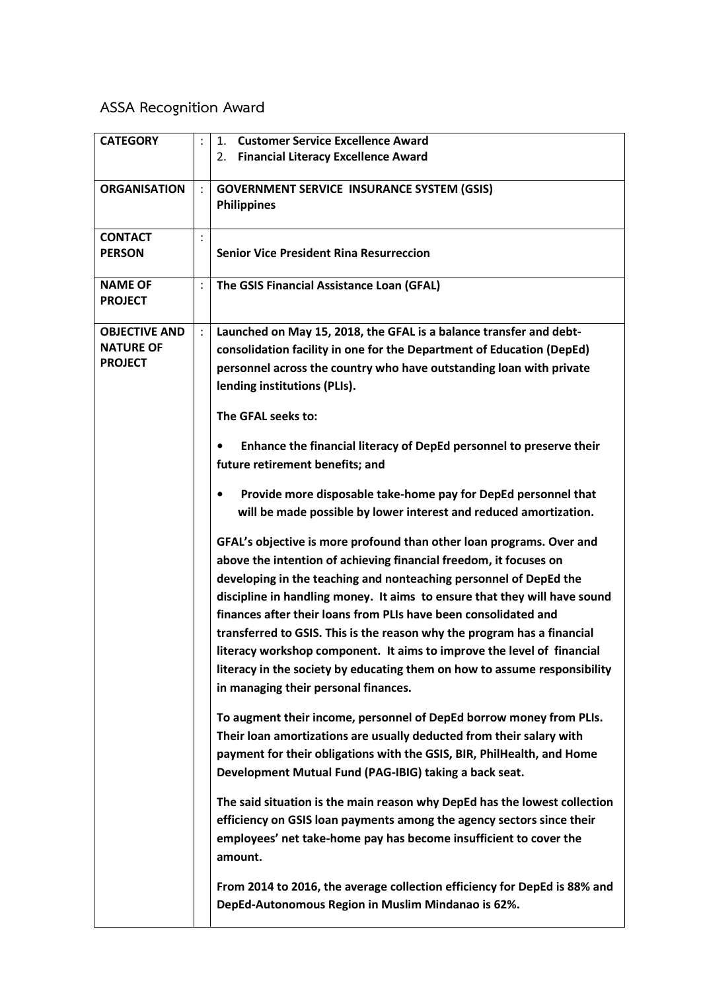## **ASSA Recognition Award**

| <b>CATEGORY</b>                                            |                | <b>Customer Service Excellence Award</b><br>1.<br><b>Financial Literacy Excellence Award</b><br>2.                                                                                                                                                                                                                                                                                                                                                                                                                                                                                                                                       |
|------------------------------------------------------------|----------------|------------------------------------------------------------------------------------------------------------------------------------------------------------------------------------------------------------------------------------------------------------------------------------------------------------------------------------------------------------------------------------------------------------------------------------------------------------------------------------------------------------------------------------------------------------------------------------------------------------------------------------------|
| <b>ORGANISATION</b>                                        |                | <b>GOVERNMENT SERVICE INSURANCE SYSTEM (GSIS)</b><br><b>Philippines</b>                                                                                                                                                                                                                                                                                                                                                                                                                                                                                                                                                                  |
| <b>CONTACT</b><br><b>PERSON</b>                            |                | <b>Senior Vice President Rina Resurreccion</b>                                                                                                                                                                                                                                                                                                                                                                                                                                                                                                                                                                                           |
| <b>NAME OF</b><br><b>PROJECT</b>                           | $\ddot{\cdot}$ | The GSIS Financial Assistance Loan (GFAL)                                                                                                                                                                                                                                                                                                                                                                                                                                                                                                                                                                                                |
| <b>OBJECTIVE AND</b><br><b>NATURE OF</b><br><b>PROJECT</b> | $\ddot{\cdot}$ | Launched on May 15, 2018, the GFAL is a balance transfer and debt-<br>consolidation facility in one for the Department of Education (DepEd)<br>personnel across the country who have outstanding loan with private<br>lending institutions (PLIs).<br>The GFAL seeks to:                                                                                                                                                                                                                                                                                                                                                                 |
|                                                            |                | Enhance the financial literacy of DepEd personnel to preserve their<br>٠<br>future retirement benefits; and                                                                                                                                                                                                                                                                                                                                                                                                                                                                                                                              |
|                                                            |                | Provide more disposable take-home pay for DepEd personnel that<br>$\bullet$<br>will be made possible by lower interest and reduced amortization.                                                                                                                                                                                                                                                                                                                                                                                                                                                                                         |
|                                                            |                | GFAL's objective is more profound than other loan programs. Over and<br>above the intention of achieving financial freedom, it focuses on<br>developing in the teaching and nonteaching personnel of DepEd the<br>discipline in handling money. It aims to ensure that they will have sound<br>finances after their loans from PLIs have been consolidated and<br>transferred to GSIS. This is the reason why the program has a financial<br>literacy workshop component. It aims to improve the level of financial<br>literacy in the society by educating them on how to assume responsibility<br>in managing their personal finances. |
|                                                            |                | To augment their income, personnel of DepEd borrow money from PLIs.<br>Their loan amortizations are usually deducted from their salary with<br>payment for their obligations with the GSIS, BIR, PhilHealth, and Home<br>Development Mutual Fund (PAG-IBIG) taking a back seat.                                                                                                                                                                                                                                                                                                                                                          |
|                                                            |                | The said situation is the main reason why DepEd has the lowest collection<br>efficiency on GSIS loan payments among the agency sectors since their<br>employees' net take-home pay has become insufficient to cover the<br>amount.                                                                                                                                                                                                                                                                                                                                                                                                       |
|                                                            |                | From 2014 to 2016, the average collection efficiency for DepEd is 88% and<br>DepEd-Autonomous Region in Muslim Mindanao is 62%.                                                                                                                                                                                                                                                                                                                                                                                                                                                                                                          |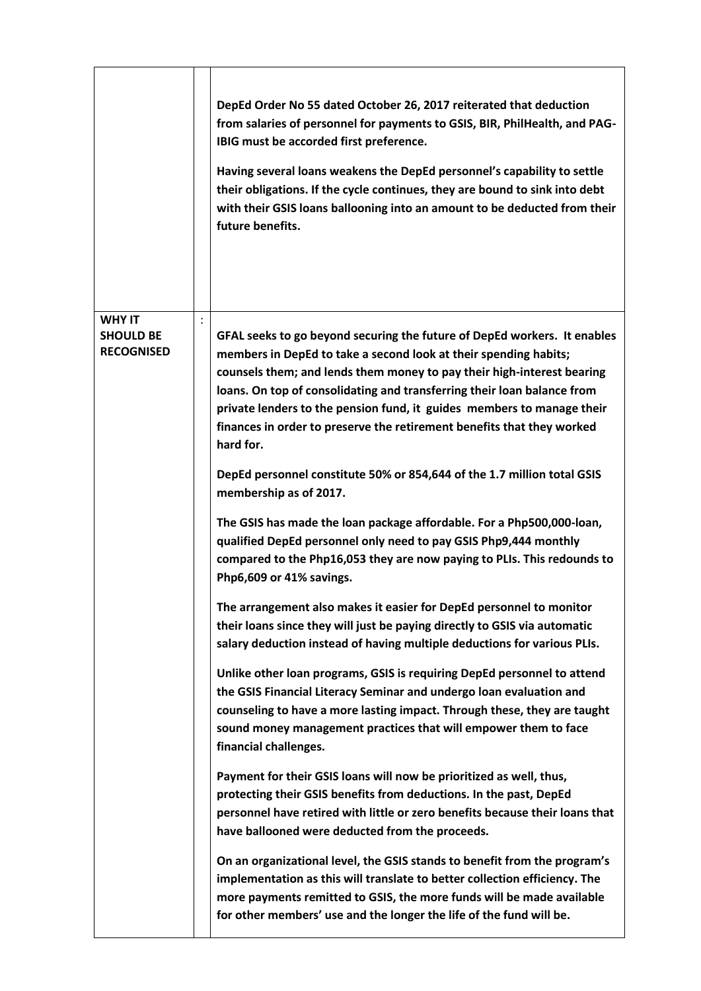|                                                        |                | DepEd Order No 55 dated October 26, 2017 reiterated that deduction<br>from salaries of personnel for payments to GSIS, BIR, PhilHealth, and PAG-<br>IBIG must be accorded first preference.<br>Having several loans weakens the DepEd personnel's capability to settle<br>their obligations. If the cycle continues, they are bound to sink into debt<br>with their GSIS loans ballooning into an amount to be deducted from their<br>future benefits.                                                                                        |
|--------------------------------------------------------|----------------|-----------------------------------------------------------------------------------------------------------------------------------------------------------------------------------------------------------------------------------------------------------------------------------------------------------------------------------------------------------------------------------------------------------------------------------------------------------------------------------------------------------------------------------------------|
| <b>WHY IT</b><br><b>SHOULD BE</b><br><b>RECOGNISED</b> | $\ddot{\cdot}$ | GFAL seeks to go beyond securing the future of DepEd workers. It enables<br>members in DepEd to take a second look at their spending habits;<br>counsels them; and lends them money to pay their high-interest bearing<br>loans. On top of consolidating and transferring their loan balance from<br>private lenders to the pension fund, it guides members to manage their<br>finances in order to preserve the retirement benefits that they worked<br>hard for.<br>DepEd personnel constitute 50% or 854,644 of the 1.7 million total GSIS |
|                                                        |                | membership as of 2017.<br>The GSIS has made the loan package affordable. For a Php500,000-loan,<br>qualified DepEd personnel only need to pay GSIS Php9,444 monthly<br>compared to the Php16,053 they are now paying to PLIs. This redounds to<br>Php6,609 or 41% savings.                                                                                                                                                                                                                                                                    |
|                                                        |                | The arrangement also makes it easier for DepEd personnel to monitor<br>their loans since they will just be paying directly to GSIS via automatic<br>salary deduction instead of having multiple deductions for various PLIs.                                                                                                                                                                                                                                                                                                                  |
|                                                        |                | Unlike other loan programs, GSIS is requiring DepEd personnel to attend<br>the GSIS Financial Literacy Seminar and undergo loan evaluation and<br>counseling to have a more lasting impact. Through these, they are taught<br>sound money management practices that will empower them to face<br>financial challenges.                                                                                                                                                                                                                        |
|                                                        |                | Payment for their GSIS loans will now be prioritized as well, thus,<br>protecting their GSIS benefits from deductions. In the past, DepEd<br>personnel have retired with little or zero benefits because their loans that<br>have ballooned were deducted from the proceeds.                                                                                                                                                                                                                                                                  |
|                                                        |                | On an organizational level, the GSIS stands to benefit from the program's<br>implementation as this will translate to better collection efficiency. The<br>more payments remitted to GSIS, the more funds will be made available<br>for other members' use and the longer the life of the fund will be.                                                                                                                                                                                                                                       |